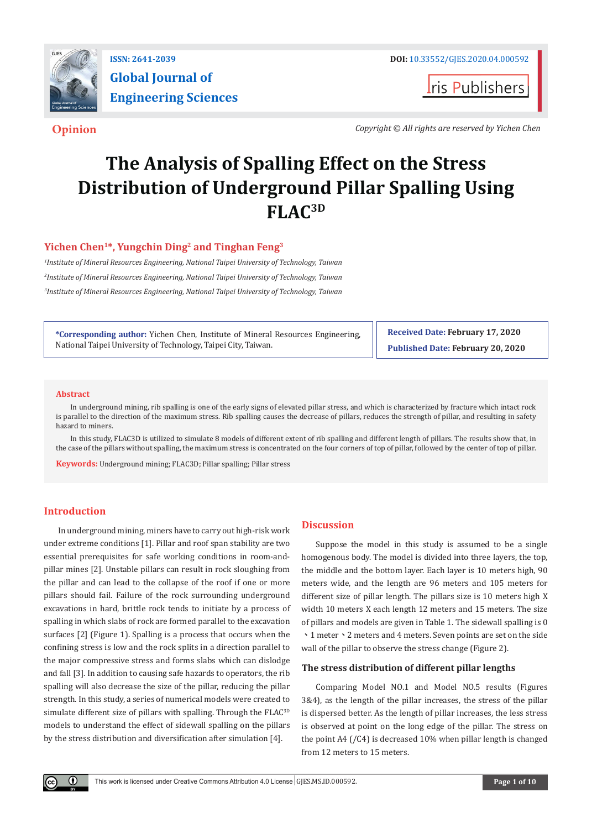

**I**ris Publishers

**Opinion** *Copyright © All rights are reserved by Yichen Chen*

# **The Analysis of Spalling Effect on the Stress Distribution of Underground Pillar Spalling Using FLAC3D**

## **Yichen Chen1\*, Yungchin Ding2 and Tinghan Feng3**

*1 Institute of Mineral Resources Engineering, National Taipei University of Technology, Taiwan 2 Institute of Mineral Resources Engineering, National Taipei University of Technology, Taiwan 3 Institute of Mineral Resources Engineering, National Taipei University of Technology, Taiwan*

**\*Corresponding author:** Yichen Chen, Institute of Mineral Resources Engineering, National Taipei University of Technology, Taipei City, Taiwan.

**Received Date: February 17, 2020 Published Date: February 20, 2020**

#### **Abstract**

In underground mining, rib spalling is one of the early signs of elevated pillar stress, and which is characterized by fracture which intact rock is parallel to the direction of the maximum stress. Rib spalling causes the decrease of pillars, reduces the strength of pillar, and resulting in safety hazard to miners.

In this study, FLAC3D is utilized to simulate 8 models of different extent of rib spalling and different length of pillars. The results show that, in the case of the pillars without spalling, the maximum stress is concentrated on the four corners of top of pillar, followed by the center of top of pillar.

**Keywords:** Underground mining; FLAC3D; Pillar spalling; Pillar stress

## **Introduction**

O.

In underground mining, miners have to carry out high-risk work under extreme conditions [1]. Pillar and roof span stability are two essential prerequisites for safe working conditions in room-andpillar mines [2]. Unstable pillars can result in rock sloughing from the pillar and can lead to the collapse of the roof if one or more pillars should fail. Failure of the rock surrounding underground excavations in hard, brittle rock tends to initiate by a process of spalling in which slabs of rock are formed parallel to the excavation surfaces [2] (Figure 1). Spalling is a process that occurs when the confining stress is low and the rock splits in a direction parallel to the major compressive stress and forms slabs which can dislodge and fall [3]. In addition to causing safe hazards to operators, the rib spalling will also decrease the size of the pillar, reducing the pillar strength. In this study, a series of numerical models were created to simulate different size of pillars with spalling. Through the FLAC<sup>3D</sup> models to understand the effect of sidewall spalling on the pillars by the stress distribution and diversification after simulation [4].

### **Discussion**

Suppose the model in this study is assumed to be a single homogenous body. The model is divided into three layers, the top, the middle and the bottom layer. Each layer is 10 meters high, 90 meters wide, and the length are 96 meters and 105 meters for different size of pillar length. The pillars size is 10 meters high X width 10 meters X each length 12 meters and 15 meters. The size of pillars and models are given in Table 1. The sidewall spalling is 0 ﹅1 meter﹅2 meters and 4 meters. Seven points are set on the side wall of the pillar to observe the stress change (Figure 2).

#### **The stress distribution of different pillar lengths**

Comparing Model NO.1 and Model NO.5 results (Figures 3&4), as the length of the pillar increases, the stress of the pillar is dispersed better. As the length of pillar increases, the less stress is observed at point on the long edge of the pillar. The stress on the point A4 (/C4) is decreased 10% when pillar length is changed from 12 meters to 15 meters.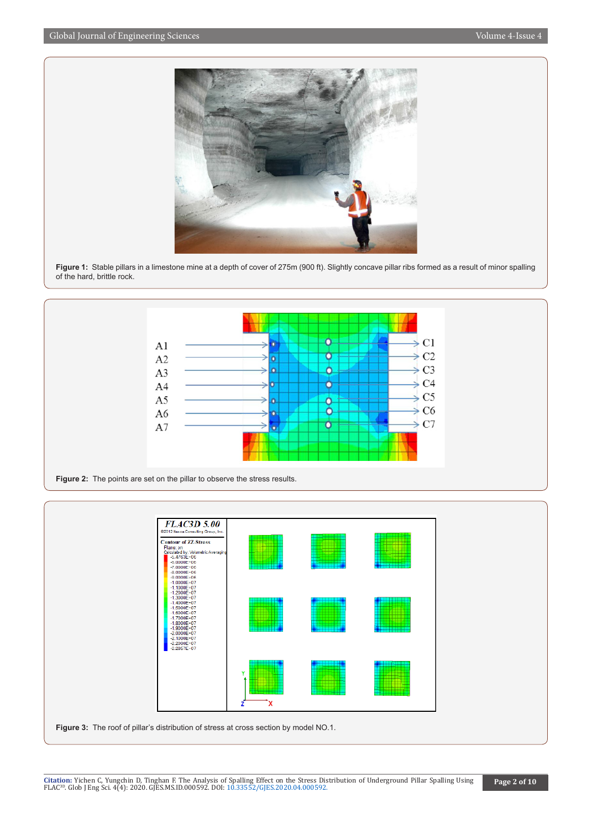

**Figure 1:** Stable pillars in a limestone mine at a depth of cover of 275m (900 ft). Slightly concave pillar ribs formed as a result of minor spalling of the hard, brittle rock.



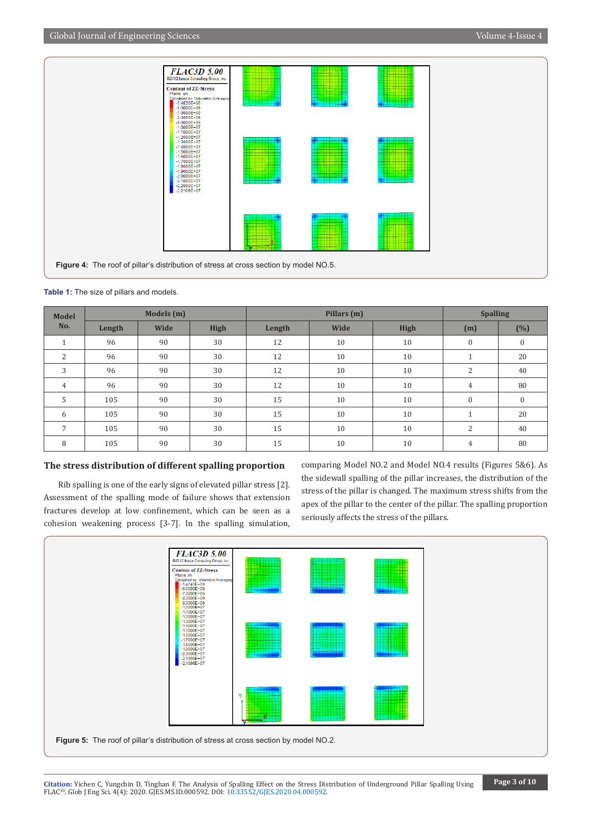

**Table 1:** The size of pillars and models.

| <b>Model</b><br>No.        | Models (m) |      |             | Pillars (m) |      |             | <b>Spalling</b>      |                  |
|----------------------------|------------|------|-------------|-------------|------|-------------|----------------------|------------------|
|                            | Length     | Wide | <b>High</b> | Length      | Wide | <b>High</b> | (m)                  | (%)              |
| $\blacktriangleleft$<br>T. | 96         | 90   | 30          | 12          | 10   | 10          | $\mathbf{0}$         | $\boldsymbol{0}$ |
| $\overline{2}$             | 96         | 90   | 30          | 12          | 10   | 10          | $\overline{A}$<br>T. | 20               |
| 3                          | 96         | 90   | 30          | 12          | 10   | 10          | 2                    | 40               |
| $\overline{4}$             | 96         | 90   | 30          | 12          | 10   | 10          | $\overline{4}$       | 80               |
| 5                          | 105        | 90   | 30          | 15          | 10   | 10          | $\mathbf{0}$         | $\mathbf{0}$     |
| 6                          | 105        | 90   | 30          | 15          | 10   | 10          | $\blacktriangleleft$ | 20               |
| 7                          | 105        | 90   | 30          | 15          | 10   | 10          | $\overline{2}$       | 40               |
| 8                          | 105        | 90   | 30          | 15          | 10   | 10          | 4                    | 80               |

## **The stress distribution of different spalling proportion**

Rib spalling is one of the early signs of elevated pillar stress [2]. Assessment of the spalling mode of failure shows that extension fractures develop at low confinement, which can be seen as a cohesion weakening process [3-7]. In the spalling simulation, comparing Model NO.2 and Model NO.4 results (Figures 5&6). As the sidewall spalling of the pillar increases, the distribution of the stress of the pillar is changed. The maximum stress shifts from the apex of the pillar to the center of the pillar. The spalling proportion seriously affects the stress of the pillars.